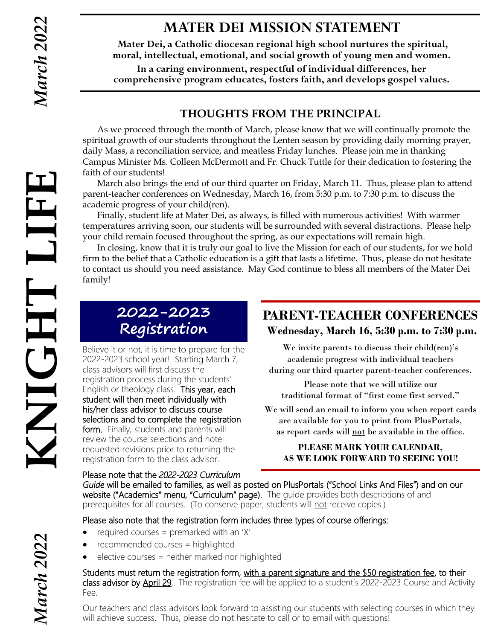HT LIF

## **MATER DEI MISSION STATEMENT**

**Mater Dei, a Catholic diocesan regional high school nurtures the spiritual, moral, intellectual, emotional, and social growth of young men and women.**

**In a caring environment, respectful of individual differences, her comprehensive program educates, fosters faith, and develops gospel values.**

#### **THOUGHTS FROM THE PRINCIPAL**

As we proceed through the month of March, please know that we will continually promote the spiritual growth of our students throughout the Lenten season by providing daily morning prayer, daily Mass, a reconciliation service, and meatless Friday lunches. Please join me in thanking Campus Minister Ms. Colleen McDermott and Fr. Chuck Tuttle for their dedication to fostering the faith of our students!

March also brings the end of our third quarter on Friday, March 11. Thus, please plan to attend parent-teacher conferences on Wednesday, March 16, from 5:30 p.m. to 7:30 p.m. to discuss the academic progress of your child(ren).

Finally, student life at Mater Dei, as always, is filled with numerous activities! With warmer temperatures arriving soon, our students will be surrounded with several distractions. Please help your child remain focused throughout the spring, as our expectations will remain high.

In closing, know that it is truly our goal to live the Mission for each of our students, for we hold firm to the belief that a Catholic education is a gift that lasts a lifetime. Thus, please do not hesitate to contact us should you need assistance. May God continue to bless all members of the Mater Dei family!

# **2022-2023 Registration**

**KNIGHT LIFE** Believe it or not, it is time to prepare for the 2022-2023 school year! Starting March 7, class advisors will first discuss the registration process during the students' English or theology class. This year, each student will then meet individually with his/her class advisor to discuss course selections and to complete the registration form. Finally, students and parents will review the course selections and note requested revisions prior to returning the registration form to the class advisor.

#### **PARENT-TEACHER CONFERENCES Wednesday, March 16, 5:30 p.m. to 7:30 p.m.**

We invite parents to discuss their child(ren)'s academic progress with individual teachers during our third quarter parent-teacher conferences.

Please note that we will utilize our traditional format of "first come first served."

We will send an email to inform you when report cards are available for you to print from PlusPortals, as report cards will not be available in the office.

#### **PLEASE MARK YOUR CALENDAR, AS WE LOOK FORWARD TO SEEING YOU!**

Please note that the *2022-2023 Curriculum Guide* will be emailed to families, as well as posted on PlusPortals ("School Links And Files") and on our website ("Academics" menu, "Curriculum" page). The guide provides both descriptions of and prerequisites for all courses. (To conserve paper, students will not receive copies.)

Please also note that the registration form includes three types of course offerings:

- required courses = premarked with an 'X'
- recommended courses = highlighted
- elective courses = neither marked nor highlighted

Students must return the registration form, with a parent signature and the \$50 registration fee, to their class advisor by April 29. The registration fee will be applied to a student's 2022-2023 Course and Activity Fee.

Our teachers and class advisors look forward to assisting our students with selecting courses in which they will achieve success. Thus, please do not hesitate to call or to email with questions!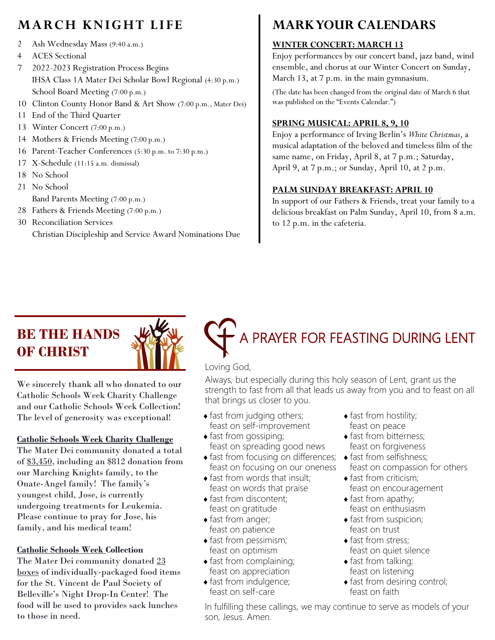# **MARCH KNIGHT LIFE**

- 2 Ash Wednesday Mass (9:40 a.m.)
- 4 ACES Sectional
- 7 2022-2023 Registration Process Begins IHSA Class 1A Mater Dei Scholar Bowl Regional (4:30 p.m.) School Board Meeting (7:00 p.m.)
- 10 Clinton County Honor Band & Art Show (7:00 p.m., Mater Dei)
- 11 End of the Third Quarter
- 13 Winter Concert (7:00 p.m.)
- 14 Mothers & Friends Meeting (7:00 p.m.)
- 16 Parent-Teacher Conferences (5:30 p.m. to 7:30 p.m.)
- 17 X-Schedule (11:15 a.m. dismissal)
- 18 No School
- 21 No School
- Band Parents Meeting (7:00 p.m.)
- 28 Fathers & Friends Meeting (7:00 p.m.)
- 30 Reconciliation Services Christian Discipleship and Service Award Nominations Due

# **MARK YOUR CALENDARS**

#### **WINTER CONCERT: MARCH 13**

Enjoy performances by our concert band, jazz band, wind ensemble, and chorus at our Winter Concert on Sunday, March 13, at 7 p.m. in the main gymnasium.

(The date has been changed from the original date of March 6 that was published on the "Events Calendar.")

#### **SPRING MUSICAL: APRIL 8, 9, 10**

Enjoy a performance of Irving Berlin's *White Christmas*, a musical adaptation of the beloved and timeless film of the same name, on Friday, April 8, at 7 p.m.; Saturday, April 9, at 7 p.m.; or Sunday, April 10, at 2 p.m.

#### **PALM SUNDAY BREAKFAST: APRIL 10**

In support of our Fathers & Friends, treat your family to a delicious breakfast on Palm Sunday, April 10, from 8 a.m. to 12 p.m. in the cafeteria.

# **BE THE HANDS OF CHRIST**



We sincerely thank all who donated to our Catholic Schools Week Charity Challenge and our Catholic Schools Week Collection! The level of generosity was exceptional!

#### **Catholic Schools Week Charity Challenge**

The Mater Dei community donated a total of \$3,450, including an \$812 donation from our Marching Knights family, to the Onate-Angel family! The family's youngest child, Jose, is currently undergoing treatments for Leukemia. Please continue to pray for Jose, his family, and his medical team!

#### **Catholic Schools Week Collection**

The Mater Dei community donated 23 boxes of individually-packaged food items for the St. Vincent de Paul Society of Belleville's Night Drop-In Center! The food will be used to provides sack lunches to those in need.

# A PRAYER FOR FEASTING DURING LENT

#### Loving God,

Always, but especially during this holy season of Lent, grant us the strength to fast from all that leads us away from you and to feast on all that brings us closer to you.

- fast from judging others; feast on self-improvement
- $\bullet$  fast from gossiping; feast on spreading good news
- fast from focusing on differences; feast on focusing on our oneness
- $\bullet$  fast from words that insult; feast on words that praise
- $\bullet$  fast from discontent; feast on gratitude
- $\bullet$  fast from anger; feast on patience
- $\bullet$  fast from pessimism; feast on optimism
- fast from complaining; feast on appreciation
- fast from indulgence;
- feast on self-care
- fast from hostility; feast on peace
- fast from bitterness; feast on forgiveness
- fast from selfishness; feast on compassion for others
- fast from criticism; feast on encouragement
- fast from apathy; feast on enthusiasm
- $\triangle$  fast from suspicion; feast on trust
- fast from stress: feast on quiet silence
- fast from talking; feast on listening
- fast from desiring control; feast on faith

In fulfilling these callings, we may continue to serve as models of your son, Jesus. Amen.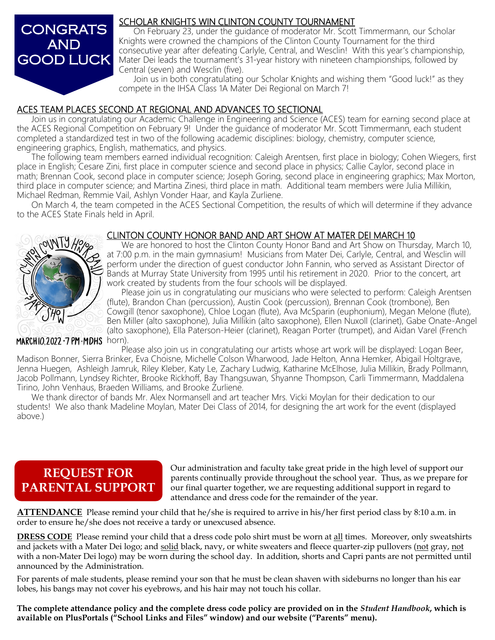

#### SCHOLAR KNIGHTS WIN CLINTON COUNTY TOURNAMENT

On February 23, under the guidance of moderator Mr. Scott Timmermann, our Scholar Knights were crowned the champions of the Clinton County Tournament for the third consecutive year after defeating Carlyle, Central, and Wesclin! With this year's championship, Mater Dei leads the tournament's 31-year history with nineteen championships, followed by Central (seven) and Wesclin (five).

Join us in both congratulating our Scholar Knights and wishing them "Good luck!" as they compete in the IHSA Class 1A Mater Dei Regional on March 7!

#### ACES TEAM PLACES SECOND AT REGIONAL AND ADVANCES TO SECTIONAL

 Join us in congratulating our Academic Challenge in Engineering and Science (ACES) team for earning second place at the ACES Regional Competition on February 9! Under the guidance of moderator Mr. Scott Timmermann, each student completed a standardized test in two of the following academic disciplines: biology, chemistry, computer science, engineering graphics, English, mathematics, and physics.

The following team members earned individual recognition: Caleigh Arentsen, first place in biology; Cohen Wiegers, first place in English; Cesare Zini, first place in computer science and second place in physics; Callie Caylor, second place in math; Brennan Cook, second place in computer science; Joseph Goring, second place in engineering graphics; Max Morton, third place in computer science; and Martina Zinesi, third place in math. Additional team members were Julia Millikin, Michael Redman, Remmie Vail, Ashlyn Vonder Haar, and Kayla Zurliene.

On March 4, the team competed in the ACES Sectional Competition, the results of which will determine if they advance to the ACES State Finals held in April.

#### CLINTON COUNTY HONOR BAND AND ART SHOW AT MATER DEI MARCH 10

We are honored to host the Clinton County Honor Band and Art Show on Thursday, March 10, at 7:00 p.m. in the main gymnasium! Musicians from Mater Dei, Carlyle, Central, and Wesclin will perform under the direction of guest conductor John Fannin, who served as Assistant Director of Bands at Murray State University from 1995 until his retirement in 2020. Prior to the concert, art work created by students from the four schools will be displayed.

Please join us in congratulating our musicians who were selected to perform: Caleigh Arentsen (flute), Brandon Chan (percussion), Austin Cook (percussion), Brennan Cook (trombone), Ben Cowgill (tenor saxophone), Chloe Logan (flute), Ava McSparin (euphonium), Megan Melone (flute), Ben Miller (alto saxophone), Julia Millikin (alto saxophone), Ellen Nuxoll (clarinet), Gabe Onate-Angel (alto saxophone), Ella Paterson-Heier (clarinet), Reagan Porter (trumpet), and Aidan Varel (French

 $MARCH10.2022.7 PM\cdot MDHS$  horn).

Please also join us in congratulating our artists whose art work will be displayed: Logan Beer, Madison Bonner, Sierra Brinker, Eva Choisne, Michelle Colson Wharwood, Jade Helton, Anna Hemker, Abigail Holtgrave, Jenna Huegen, Ashleigh Jamruk, Riley Kleber, Katy Le, Zachary Ludwig, Katharine McElhose, Julia Millikin, Brady Pollmann, Jacob Pollmann, Lyndsey Richter, Brooke Rickhoff, Bay Thangsuwan, Shyanne Thompson, Carli Timmermann, Maddalena Tirino, John Venhaus, Braeden Williams, and Brooke Zurliene.

We thank director of bands Mr. Alex Normansell and art teacher Mrs. Vicki Moylan for their dedication to our students! We also thank Madeline Moylan, Mater Dei Class of 2014, for designing the art work for the event (displayed above.)

## **REQUEST FOR PARENTAL SUPPORT**

Our administration and faculty take great pride in the high level of support our parents continually provide throughout the school year. Thus, as we prepare for our final quarter together, we are requesting additional support in regard to attendance and dress code for the remainder of the year.

**ATTENDANCE** Please remind your child that he/she is required to arrive in his/her first period class by 8:10 a.m. in order to ensure he/she does not receive a tardy or unexcused absence.

**DRESS CODE** Please remind your child that a dress code polo shirt must be worn at all times. Moreover, only sweatshirts and jackets with a Mater Dei logo; and solid black, navy, or white sweaters and fleece quarter-zip pullovers (not gray, not with a non-Mater Dei logo) may be worn during the school day. In addition, shorts and Capri pants are not permitted until announced by the Administration.

For parents of male students, please remind your son that he must be clean shaven with sideburns no longer than his ear lobes, his bangs may not cover his eyebrows, and his hair may not touch his collar.

**The complete attendance policy and the complete dress code policy are provided on in the** *Student Handbook***, which is available on PlusPortals ("School Links and Files" window) and our website ("Parents" menu).**

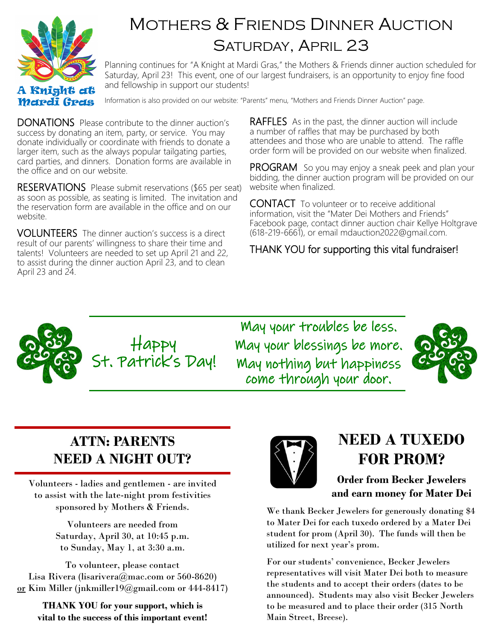

# MOTHERS & FRIENDS DINNER AUCTION SATURDAY, APRIL 23

Planning continues for "A Knight at Mardi Gras," the Mothers & Friends dinner auction scheduled for Saturday, April 23! This event, one of our largest fundraisers, is an opportunity to enjoy fine food and fellowship in support our students!

Information is also provided on our website: "Parents" menu, "Mothers and Friends Dinner Auction" page.

DONATIONS Please contribute to the dinner auction's success by donating an item, party, or service. You may donate individually or coordinate with friends to donate a larger item, such as the always popular tailgating parties, card parties, and dinners. Donation forms are available in the office and on our website.

RESERVATIONS Please submit reservations (\$65 per seat) as soon as possible, as seating is limited. The invitation and the reservation form are available in the office and on our website.

VOLUNTEERS The dinner auction's success is a direct result of our parents' willingness to share their time and talents! Volunteers are needed to set up April 21 and 22, to assist during the dinner auction April 23, and to clean April 23 and 24.

**RAFFLES** As in the past, the dinner auction will include a number of raffles that may be purchased by both attendees and those who are unable to attend. The raffle order form will be provided on our website when finalized.

**PROGRAM** So you may enjoy a sneak peek and plan your bidding, the dinner auction program will be provided on our website when finalized.

CONTACT To volunteer or to receive additional information, visit the "Mater Dei Mothers and Friends" Facebook page, contact dinner auction chair Kellye Holtgrave (618-219-6661), or email mdauction2022@gmail.com.

#### THANK YOU for supporting this vital fundraiser!



May your troubles be less. May your blessings be more. May nothing but happiness come through your door.



# **ATTN: PARENTS NEED A NIGHT OUT?**

Volunteers - ladies and gentlemen - are invited to assist with the late-night prom festivities sponsored by Mothers & Friends.

> Volunteers are needed from Saturday, April 30, at 10:45 p.m. to Sunday, May 1, at 3:30 a.m.

To volunteer, please contact Lisa Rivera (lisarivera@mac.com or 560-8620) or Kim Miller (jnkmiller19@gmail.com or 444-8417)

**THANK YOU for your support, which is vital to the success of this important event!**



# **NEED A TUXEDO FOR PROM?**

**Order from Becker Jewelers and earn money for Mater Dei**

We thank Becker Jewelers for generously donating \$4 to Mater Dei for each tuxedo ordered by a Mater Dei student for prom (April 30). The funds will then be utilized for next year's prom.

For our students' convenience, Becker Jewelers representatives will visit Mater Dei both to measure the students and to accept their orders (dates to be announced). Students may also visit Becker Jewelers to be measured and to place their order (315 North Main Street, Breese).